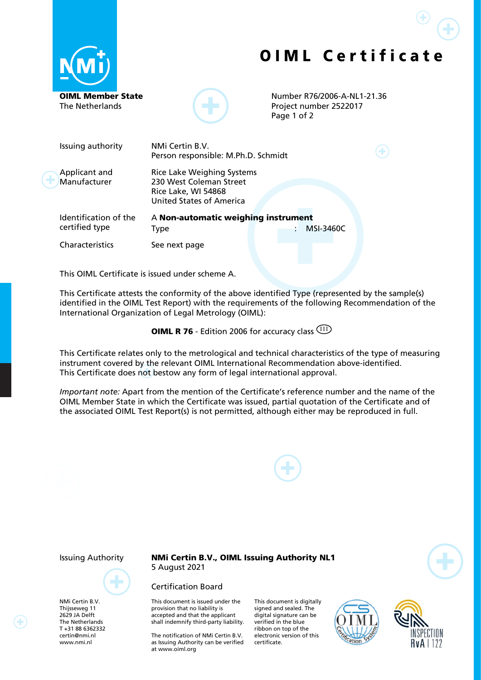





Number R76/2006-A-NL1-21.36 Project number 2522017 Page 1 of 2

| Issuing authority                       | NMi Certin B.V.<br>Person responsible: M.Ph.D. Schmidt                                                                 |  |  |  |                  |  |
|-----------------------------------------|------------------------------------------------------------------------------------------------------------------------|--|--|--|------------------|--|
| Applicant and<br>Manufacturer           | <b>Rice Lake Weighing Systems</b><br>230 West Coleman Street<br>Rice Lake, WI 54868<br><b>United States of America</b> |  |  |  |                  |  |
| Identification of the<br>certified type | A Non-automatic weighing instrument<br>Type                                                                            |  |  |  | <b>MSI-3460C</b> |  |
| Characteristics                         | See next page                                                                                                          |  |  |  |                  |  |

This OIML Certificate is issued under scheme A.

This Certificate attests the conformity of the above identified Type (represented by the sample(s) identified in the OIML Test Report) with the requirements of the following Recommendation of the International Organization of Legal Metrology (OIML):

**OIML R 76** - Edition 2006 for accuracy class  $\frac{(III)}{(III)}$ 

This Certificate relates only to the metrological and technical characteristics of the type of measuring instrument covered by the relevant OIML International Recommendation above-identified. This Certificate does not bestow any form of legal international approval.

*Important note:* Apart from the mention of the Certificate's reference number and the name of the OIML Member State in which the Certificate was issued, partial quotation of the Certificate and of the associated OIML Test Report(s) is not permitted, although either may be reproduced in full.



NMi Certin B.V. Thijsseweg 11 2629 JA Delft The Netherlands T +31 88 6362332 certin@nmi.nl [www.nmi.nl](http://www.nmi.nl/)

⊕

Issuing Authority NMi Certin B.V., OIML Issuing Authority NL1 5 August 2021

## Certification Board

This document is issued under the provision that no liability is accepted and that the applicant shall indemnify third-party liability.

The notification of NMi Certin B.V. as Issuing Authority can be verified at [www.oiml.org](http://www.oiml.org/)

This document is digitally signed and sealed. The digital signature can be verified in the blue ribbon on top of the electronic version of this certificate.